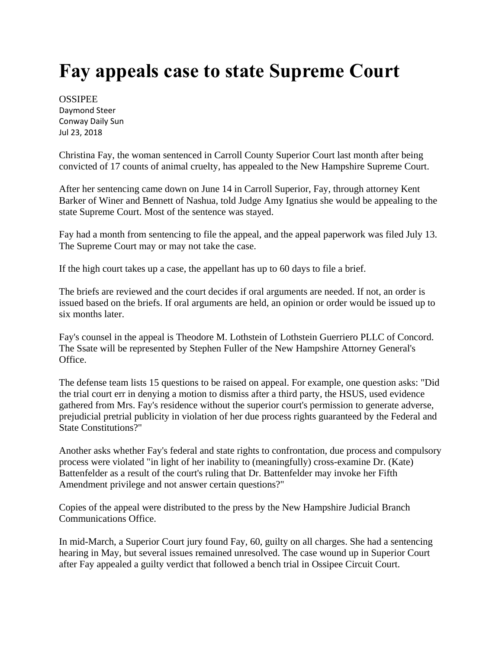## **Fay appeals case to state Supreme Court**

**OSSIPEE** Daymond Steer Conway Daily Sun Jul 23, 2018

Christina Fay, the woman sentenced in Carroll County Superior Court last month after being convicted of 17 counts of animal cruelty, has appealed to the New Hampshire Supreme Court.

After her sentencing came down on June 14 in Carroll Superior, Fay, through attorney Kent Barker of Winer and Bennett of Nashua, told Judge Amy Ignatius she would be appealing to the state Supreme Court. Most of the sentence was stayed.

Fay had a month from sentencing to file the appeal, and the appeal paperwork was filed July 13. The Supreme Court may or may not take the case.

If the high court takes up a case, the appellant has up to 60 days to file a brief.

The briefs are reviewed and the court decides if oral arguments are needed. If not, an order is issued based on the briefs. If oral arguments are held, an opinion or order would be issued up to six months later.

Fay's counsel in the appeal is Theodore M. Lothstein of Lothstein Guerriero PLLC of Concord. The Ssate will be represented by Stephen Fuller of the New Hampshire Attorney General's Office.

The defense team lists 15 questions to be raised on appeal. For example, one question asks: "Did the trial court err in denying a motion to dismiss after a third party, the HSUS, used evidence gathered from Mrs. Fay's residence without the superior court's permission to generate adverse, prejudicial pretrial publicity in violation of her due process rights guaranteed by the Federal and State Constitutions?"

Another asks whether Fay's federal and state rights to confrontation, due process and compulsory process were violated "in light of her inability to (meaningfully) cross-examine Dr. (Kate) Battenfelder as a result of the court's ruling that Dr. Battenfelder may invoke her Fifth Amendment privilege and not answer certain questions?"

Copies of the appeal were distributed to the press by the New Hampshire Judicial Branch Communications Office.

In mid-March, a Superior Court jury found Fay, 60, guilty on all charges. She had a sentencing hearing in May, but several issues remained unresolved. The case wound up in Superior Court after Fay appealed a guilty verdict that followed a bench trial in Ossipee Circuit Court.